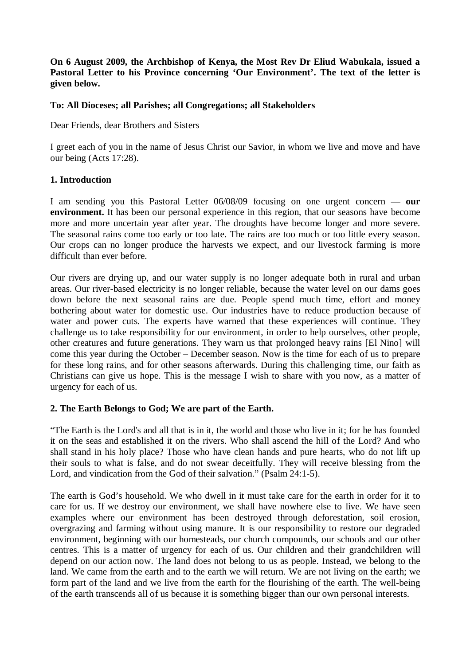# **On 6 August 2009, the Archbishop of Kenya, the Most Rev Dr Eliud Wabukala, issued a Pastoral Letter to his Province concerning 'Our Environment'. The text of the letter is given below.**

# **To: All Dioceses; all Parishes; all Congregations; all Stakeholders**

Dear Friends, dear Brothers and Sisters

I greet each of you in the name of Jesus Christ our Savior, in whom we live and move and have our being (Acts 17:28).

# **1. Introduction**

I am sending you this Pastoral Letter 06/08/09 focusing on one urgent concern — **our environment.** It has been our personal experience in this region, that our seasons have become more and more uncertain year after year. The droughts have become longer and more severe. The seasonal rains come too early or too late. The rains are too much or too little every season. Our crops can no longer produce the harvests we expect, and our livestock farming is more difficult than ever before.

Our rivers are drying up, and our water supply is no longer adequate both in rural and urban areas. Our river-based electricity is no longer reliable, because the water level on our dams goes down before the next seasonal rains are due. People spend much time, effort and money bothering about water for domestic use. Our industries have to reduce production because of water and power cuts. The experts have warned that these experiences will continue. They challenge us to take responsibility for our environment, in order to help ourselves, other people, other creatures and future generations. They warn us that prolonged heavy rains [El Nino] will come this year during the October – December season. Now is the time for each of us to prepare for these long rains, and for other seasons afterwards. During this challenging time, our faith as Christians can give us hope. This is the message I wish to share with you now, as a matter of urgency for each of us.

#### **2. The Earth Belongs to God; We are part of the Earth.**

"The Earth is the Lord's and all that is in it, the world and those who live in it; for he has founded it on the seas and established it on the rivers. Who shall ascend the hill of the Lord? And who shall stand in his holy place? Those who have clean hands and pure hearts, who do not lift up their souls to what is false, and do not swear deceitfully. They will receive blessing from the Lord, and vindication from the God of their salvation." (Psalm 24:1-5).

The earth is God's household. We who dwell in it must take care for the earth in order for it to care for us. If we destroy our environment, we shall have nowhere else to live. We have seen examples where our environment has been destroyed through deforestation, soil erosion, overgrazing and farming without using manure. It is our responsibility to restore our degraded environment, beginning with our homesteads, our church compounds, our schools and our other centres. This is a matter of urgency for each of us. Our children and their grandchildren will depend on our action now. The land does not belong to us as people. Instead, we belong to the land. We came from the earth and to the earth we will return. We are not living on the earth; we form part of the land and we live from the earth for the flourishing of the earth. The well-being of the earth transcends all of us because it is something bigger than our own personal interests.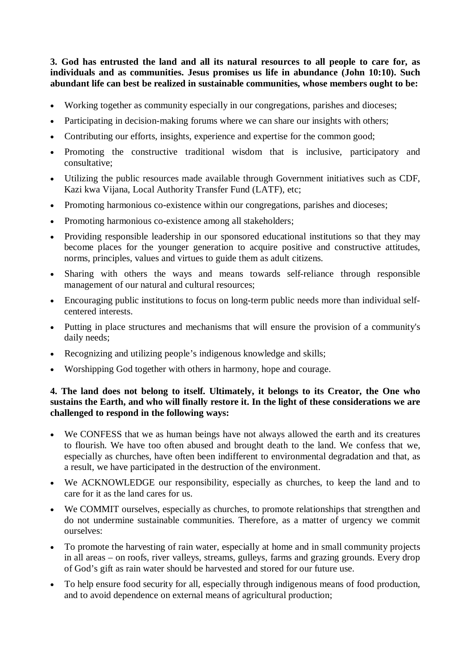**3. God has entrusted the land and all its natural resources to all people to care for, as individuals and as communities. Jesus promises us life in abundance (John 10:10). Such abundant life can best be realized in sustainable communities, whose members ought to be:**

- Working together as community especially in our congregations, parishes and dioceses;
- Participating in decision-making forums where we can share our insights with others;
- Contributing our efforts, insights, experience and expertise for the common good;
- Promoting the constructive traditional wisdom that is inclusive, participatory and consultative;
- Utilizing the public resources made available through Government initiatives such as CDF, Kazi kwa Vijana, Local Authority Transfer Fund (LATF), etc;
- Promoting harmonious co-existence within our congregations, parishes and dioceses;
- Promoting harmonious co-existence among all stakeholders;
- Providing responsible leadership in our sponsored educational institutions so that they may become places for the younger generation to acquire positive and constructive attitudes, norms, principles, values and virtues to guide them as adult citizens.
- Sharing with others the ways and means towards self-reliance through responsible management of our natural and cultural resources;
- Encouraging public institutions to focus on long-term public needs more than individual selfcentered interests.
- Putting in place structures and mechanisms that will ensure the provision of a community's daily needs;
- Recognizing and utilizing people's indigenous knowledge and skills;
- Worshipping God together with others in harmony, hope and courage.

# **4. The land does not belong to itself. Ultimately, it belongs to its Creator, the One who sustains the Earth, and who will finally restore it. In the light of these considerations we are challenged to respond in the following ways:**

- We CONFESS that we as human beings have not always allowed the earth and its creatures to flourish. We have too often abused and brought death to the land. We confess that we, especially as churches, have often been indifferent to environmental degradation and that, as a result, we have participated in the destruction of the environment.
- We ACKNOWLEDGE our responsibility, especially as churches, to keep the land and to care for it as the land cares for us.
- We COMMIT ourselves, especially as churches, to promote relationships that strengthen and do not undermine sustainable communities. Therefore, as a matter of urgency we commit ourselves:
- To promote the harvesting of rain water, especially at home and in small community projects in all areas – on roofs, river valleys, streams, gulleys, farms and grazing grounds. Every drop of God's gift as rain water should be harvested and stored for our future use.
- To help ensure food security for all, especially through indigenous means of food production, and to avoid dependence on external means of agricultural production;